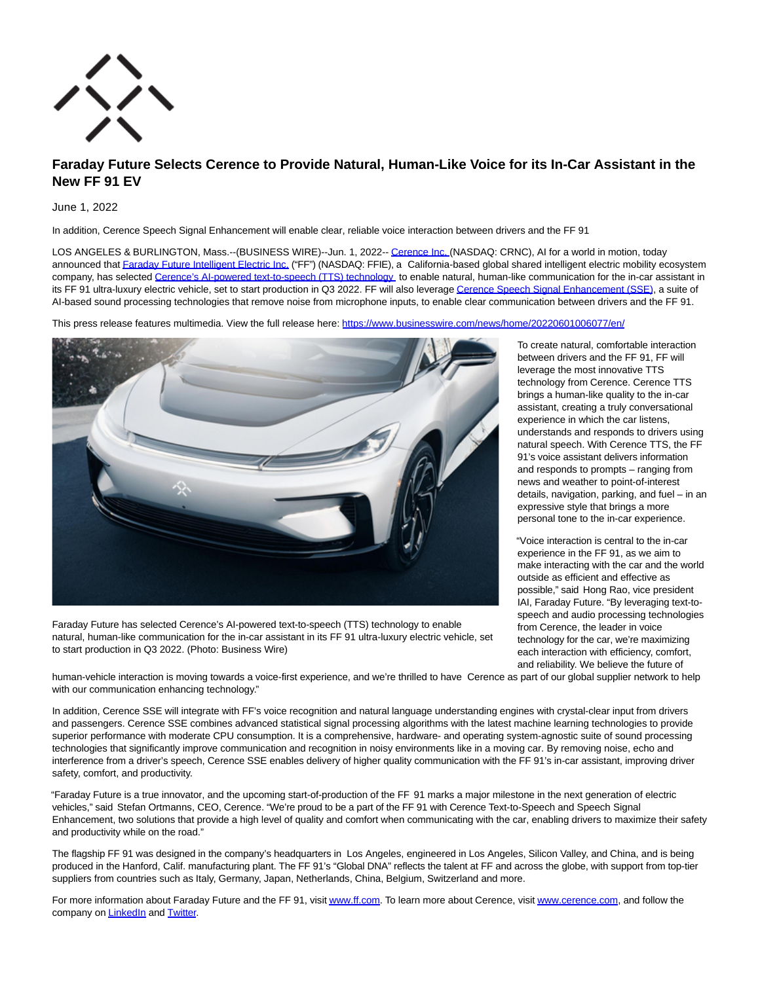

# **Faraday Future Selects Cerence to Provide Natural, Human-Like Voice for its In-Car Assistant in the New FF 91 EV**

# June 1, 2022

In addition, Cerence Speech Signal Enhancement will enable clear, reliable voice interaction between drivers and the FF 91

LOS ANGELES & BURLINGTON, Mass.--(BUSINESS WIRE)--Jun. 1, 2022-[- Cerence Inc.](https://cts.businesswire.com/ct/CT?id=smartlink&url=https%3A%2F%2Fwww.cerence.com%2F&esheet=52736918&newsitemid=20220601006077&lan=en-US&anchor=Cerence+Inc.&index=1&md5=654e5d58c01105e46b907dde319c2299) (NASDAQ: CRNC), AI for a world in motion, today announced that [Faraday Future Intelligent Electric Inc. \(](https://cts.businesswire.com/ct/CT?id=smartlink&url=https%3A%2F%2Fwww.ff.com%2F&esheet=52736918&newsitemid=20220601006077&lan=en-US&anchor=Faraday+Future+Intelligent+Electric+Inc.&index=2&md5=cba436c5b9b2b63fd7b38c762c583e09)"FF") (NASDAQ: FFIE), a California-based global shared intelligent electric mobility ecosystem company, has selected [Cerence's AI-powered text-to-speech \(TTS\) technology t](https://cts.businesswire.com/ct/CT?id=smartlink&url=https%3A%2F%2Fwww.cerence.com%2Fcerence-products%2Fcore-technologies&esheet=52736918&newsitemid=20220601006077&lan=en-US&anchor=Cerence%26%238217%3Bs+AI-powered+text-to-speech+%28TTS%29+technology&index=3&md5=b6e4c0168eeb6e439253ddc6bd0e759f)o enable natural, human-like communication for the in-car assistant in its FF 91 ultra-luxury electric vehicle, set to start production in Q3 2022. FF will also leverag[e Cerence Speech Signal Enhancement \(SSE\),](https://cts.businesswire.com/ct/CT?id=smartlink&url=https%3A%2F%2Fwww.cerence.com%2Fcerence-products%2Fcore-technologies&esheet=52736918&newsitemid=20220601006077&lan=en-US&anchor=Cerence+Speech+Signal+Enhancement+%28SSE%29&index=4&md5=ffb722ca13373e8a3519d00f0ebe9117) a suite of AI-based sound processing technologies that remove noise from microphone inputs, to enable clear communication between drivers and the FF 91.

This press release features multimedia. View the full release here:<https://www.businesswire.com/news/home/20220601006077/en/>



Faraday Future has selected Cerence's AI-powered text-to-speech (TTS) technology to enable natural, human-like communication for the in-car assistant in its FF 91 ultra-luxury electric vehicle, set to start production in Q3 2022. (Photo: Business Wire)

To create natural, comfortable interaction between drivers and the FF 91, FF will leverage the most innovative TTS technology from Cerence. Cerence TTS brings a human-like quality to the in-car assistant, creating a truly conversational experience in which the car listens, understands and responds to drivers using natural speech. With Cerence TTS, the FF 91's voice assistant delivers information and responds to prompts – ranging from news and weather to point-of-interest details, navigation, parking, and fuel – in an expressive style that brings a more personal tone to the in-car experience.

"Voice interaction is central to the in-car experience in the FF 91, as we aim to make interacting with the car and the world outside as efficient and effective as possible," said Hong Rao, vice president IAI, Faraday Future. "By leveraging text-tospeech and audio processing technologies from Cerence, the leader in voice technology for the car, we're maximizing each interaction with efficiency, comfort, and reliability. We believe the future of

human-vehicle interaction is moving towards a voice-first experience, and we're thrilled to have Cerence as part of our global supplier network to help with our communication enhancing technology."

In addition, Cerence SSE will integrate with FF's voice recognition and natural language understanding engines with crystal-clear input from drivers and passengers. Cerence SSE combines advanced statistical signal processing algorithms with the latest machine learning technologies to provide superior performance with moderate CPU consumption. It is a comprehensive, hardware- and operating system-agnostic suite of sound processing technologies that significantly improve communication and recognition in noisy environments like in a moving car. By removing noise, echo and interference from a driver's speech, Cerence SSE enables delivery of higher quality communication with the FF 91's in-car assistant, improving driver safety, comfort, and productivity.

"Faraday Future is a true innovator, and the upcoming start-of-production of the FF 91 marks a major milestone in the next generation of electric vehicles," said Stefan Ortmanns, CEO, Cerence. "We're proud to be a part of the FF 91 with Cerence Text-to-Speech and Speech Signal Enhancement, two solutions that provide a high level of quality and comfort when communicating with the car, enabling drivers to maximize their safety and productivity while on the road."

The flagship FF 91 was designed in the company's headquarters in Los Angeles, engineered in Los Angeles, Silicon Valley, and China, and is being produced in the Hanford, Calif. manufacturing plant. The FF 91's "Global DNA" reflects the talent at FF and across the globe, with support from top-tier suppliers from countries such as Italy, Germany, Japan, Netherlands, China, Belgium, Switzerland and more.

For more information about Faraday Future and the FF 91, visi[t www.ff.com.](https://cts.businesswire.com/ct/CT?id=smartlink&url=http%3A%2F%2Fwww.ff.com&esheet=52736918&newsitemid=20220601006077&lan=en-US&anchor=www.ff.com&index=5&md5=48546846ebaebc72d9db5b4093e3ca36) To learn more about Cerence, visi[t www.cerence.com,](https://cts.businesswire.com/ct/CT?id=smartlink&url=http%3A%2F%2Fwww.cerence.com&esheet=52736918&newsitemid=20220601006077&lan=en-US&anchor=www.cerence.com&index=6&md5=062a17f67a5ac68bd0789e391acad77f) and follow the company on **LinkedIn** and **Twitter**.